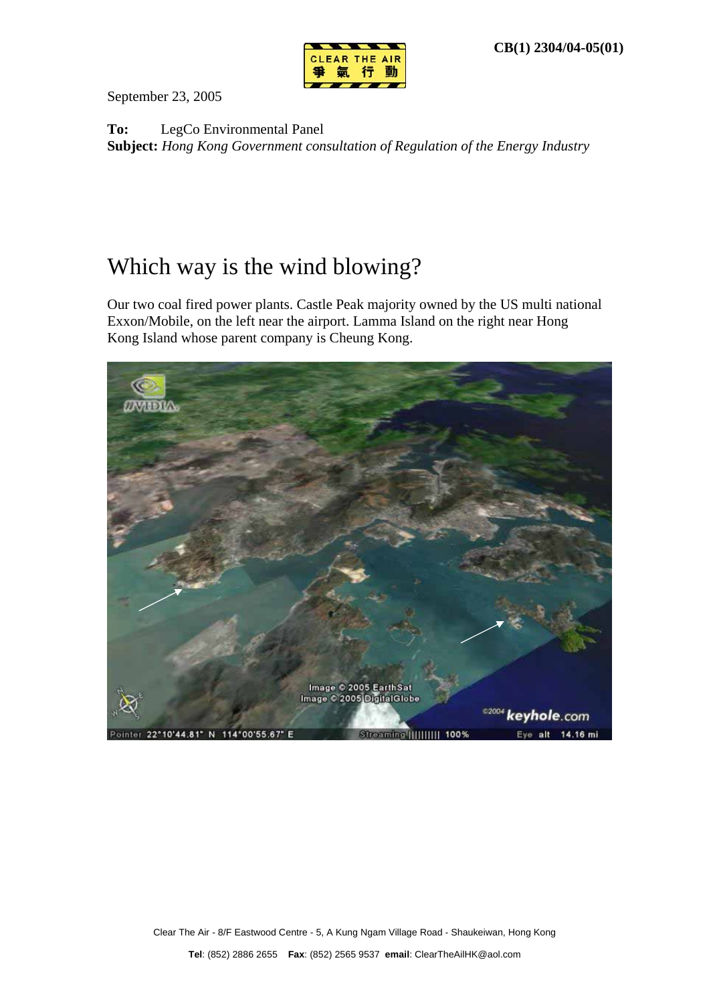

September 23, 2005

**To:** LegCo Environmental Panel **Subject:** *Hong Kong Government consultation of Regulation of the Energy Industry*

## Which way is the wind blowing?

Our two coal fired power plants. Castle Peak majority owned by the US multi national Exxon/Mobile, on the left near the airport. Lamma Island on the right near Hong Kong Island whose parent company is Cheung Kong.

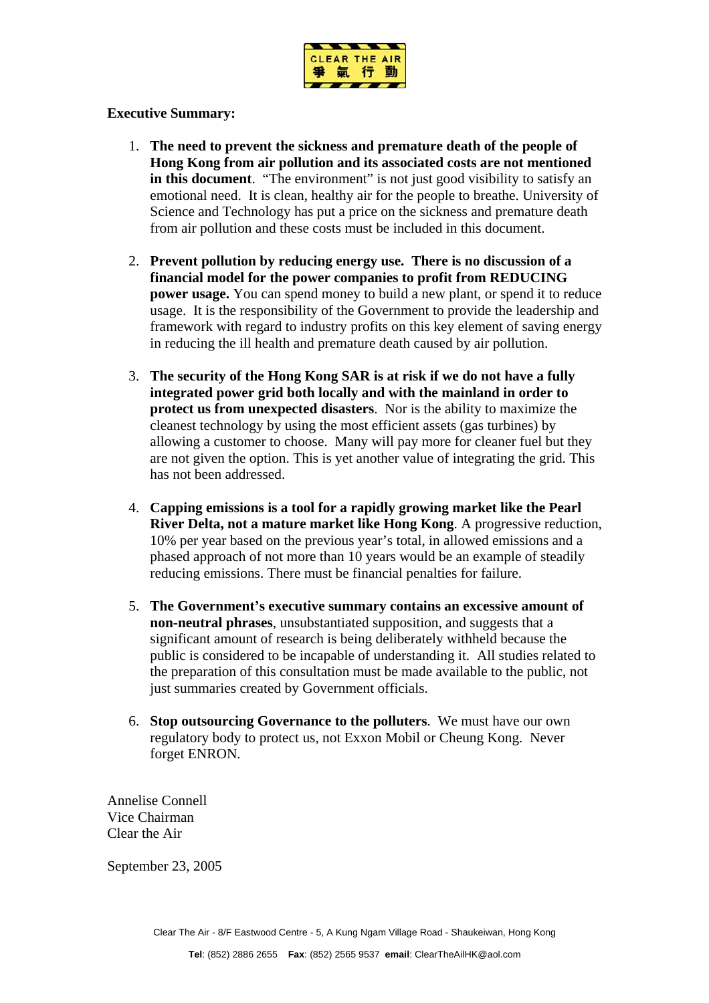

## **Executive Summary:**

- 1. **The need to prevent the sickness and premature death of the people of Hong Kong from air pollution and its associated costs are not mentioned in this document**. "The environment" is not just good visibility to satisfy an emotional need. It is clean, healthy air for the people to breathe. University of Science and Technology has put a price on the sickness and premature death from air pollution and these costs must be included in this document.
- 2. **Prevent pollution by reducing energy use. There is no discussion of a financial model for the power companies to profit from REDUCING power usage.** You can spend money to build a new plant, or spend it to reduce usage. It is the responsibility of the Government to provide the leadership and framework with regard to industry profits on this key element of saving energy in reducing the ill health and premature death caused by air pollution.
- 3. **The security of the Hong Kong SAR is at risk if we do not have a fully integrated power grid both locally and with the mainland in order to protect us from unexpected disasters**. Nor is the ability to maximize the cleanest technology by using the most efficient assets (gas turbines) by allowing a customer to choose. Many will pay more for cleaner fuel but they are not given the option. This is yet another value of integrating the grid. This has not been addressed.
- 4. **Capping emissions is a tool for a rapidly growing market like the Pearl River Delta, not a mature market like Hong Kong**. A progressive reduction, 10% per year based on the previous year's total, in allowed emissions and a phased approach of not more than 10 years would be an example of steadily reducing emissions. There must be financial penalties for failure.
- 5. **The Government's executive summary contains an excessive amount of non-neutral phrases**, unsubstantiated supposition, and suggests that a significant amount of research is being deliberately withheld because the public is considered to be incapable of understanding it. All studies related to the preparation of this consultation must be made available to the public, not just summaries created by Government officials.
- 6. **Stop outsourcing Governance to the polluters**. We must have our own regulatory body to protect us, not Exxon Mobil or Cheung Kong. Never forget ENRON.

Annelise Connell Vice Chairman Clear the Air

September 23, 2005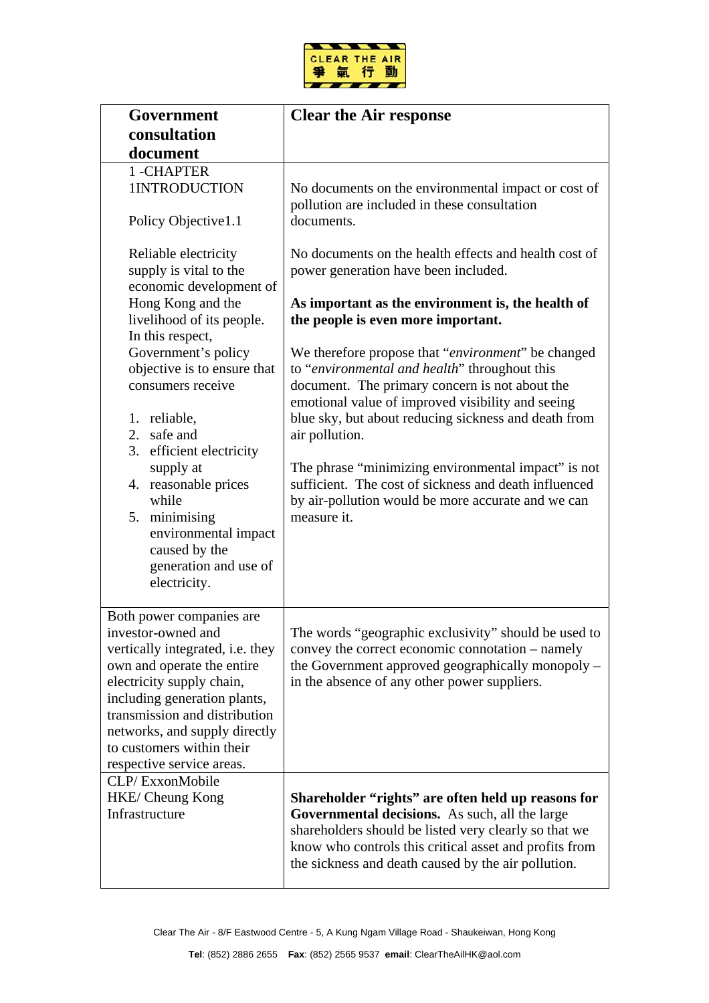

| Government                                                                                                                                                                                                                                                                                                | <b>Clear the Air response</b>                                                                                                                                                                                                                                                                                                                                                                                                                                             |
|-----------------------------------------------------------------------------------------------------------------------------------------------------------------------------------------------------------------------------------------------------------------------------------------------------------|---------------------------------------------------------------------------------------------------------------------------------------------------------------------------------------------------------------------------------------------------------------------------------------------------------------------------------------------------------------------------------------------------------------------------------------------------------------------------|
| consultation                                                                                                                                                                                                                                                                                              |                                                                                                                                                                                                                                                                                                                                                                                                                                                                           |
| document                                                                                                                                                                                                                                                                                                  |                                                                                                                                                                                                                                                                                                                                                                                                                                                                           |
| 1-CHAPTER<br>1INTRODUCTION                                                                                                                                                                                                                                                                                | No documents on the environmental impact or cost of<br>pollution are included in these consultation                                                                                                                                                                                                                                                                                                                                                                       |
| Policy Objective1.1                                                                                                                                                                                                                                                                                       | documents.                                                                                                                                                                                                                                                                                                                                                                                                                                                                |
| Reliable electricity<br>supply is vital to the<br>economic development of<br>Hong Kong and the<br>livelihood of its people.<br>In this respect,                                                                                                                                                           | No documents on the health effects and health cost of<br>power generation have been included.<br>As important as the environment is, the health of<br>the people is even more important.                                                                                                                                                                                                                                                                                  |
| Government's policy<br>objective is to ensure that<br>consumers receive<br>1. reliable,<br>2. safe and<br>3. efficient electricity<br>supply at<br>4. reasonable prices<br>while<br>5. minimising<br>environmental impact<br>caused by the<br>generation and use of<br>electricity.                       | We therefore propose that "environment" be changed<br>to "environmental and health" throughout this<br>document. The primary concern is not about the<br>emotional value of improved visibility and seeing<br>blue sky, but about reducing sickness and death from<br>air pollution.<br>The phrase "minimizing environmental impact" is not<br>sufficient. The cost of sickness and death influenced<br>by air-pollution would be more accurate and we can<br>measure it. |
| Both power companies are<br>investor-owned and<br>vertically integrated, i.e. they<br>own and operate the entire<br>electricity supply chain,<br>including generation plants,<br>transmission and distribution<br>networks, and supply directly<br>to customers within their<br>respective service areas. | The words "geographic exclusivity" should be used to<br>convey the correct economic connotation – namely<br>the Government approved geographically monopoly –<br>in the absence of any other power suppliers.                                                                                                                                                                                                                                                             |
| CLP/ExxonMobile<br>HKE/ Cheung Kong<br>Infrastructure                                                                                                                                                                                                                                                     | Shareholder "rights" are often held up reasons for<br>Governmental decisions. As such, all the large<br>shareholders should be listed very clearly so that we<br>know who controls this critical asset and profits from<br>the sickness and death caused by the air pollution.                                                                                                                                                                                            |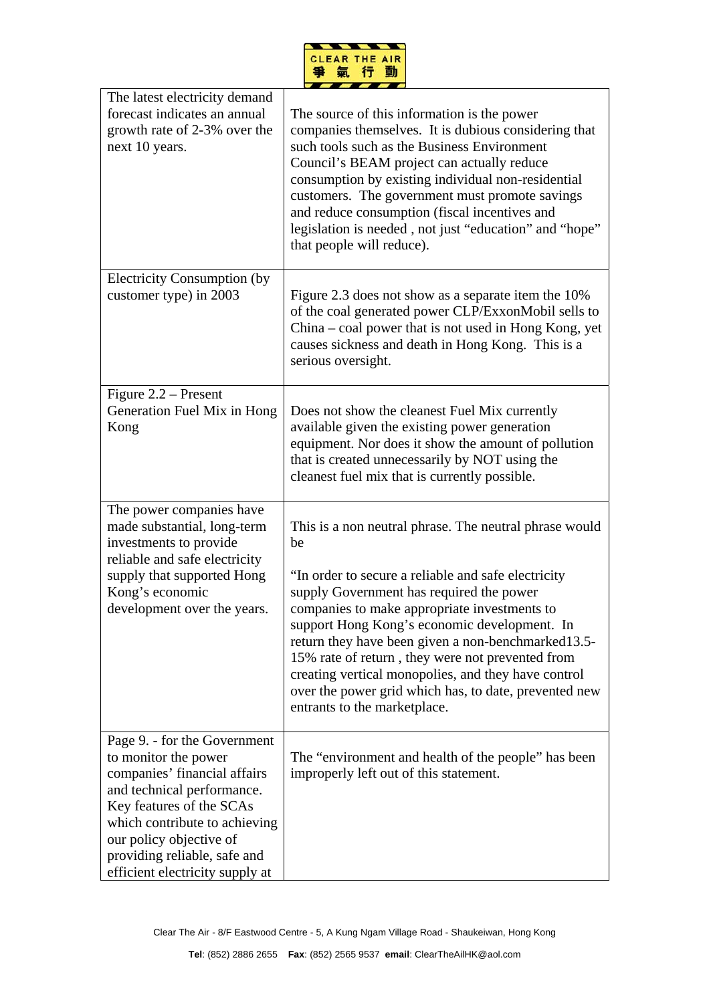

| The latest electricity demand<br>forecast indicates an annual<br>growth rate of 2-3% over the<br>next 10 years.                                                                                                                                                               | The source of this information is the power<br>companies themselves. It is dubious considering that<br>such tools such as the Business Environment<br>Council's BEAM project can actually reduce<br>consumption by existing individual non-residential<br>customers. The government must promote savings<br>and reduce consumption (fiscal incentives and<br>legislation is needed, not just "education" and "hope"<br>that people will reduce).                                                                           |
|-------------------------------------------------------------------------------------------------------------------------------------------------------------------------------------------------------------------------------------------------------------------------------|----------------------------------------------------------------------------------------------------------------------------------------------------------------------------------------------------------------------------------------------------------------------------------------------------------------------------------------------------------------------------------------------------------------------------------------------------------------------------------------------------------------------------|
| <b>Electricity Consumption (by</b><br>customer type) in 2003                                                                                                                                                                                                                  | Figure 2.3 does not show as a separate item the 10%<br>of the coal generated power CLP/ExxonMobil sells to<br>China – coal power that is not used in Hong Kong, yet<br>causes sickness and death in Hong Kong. This is a<br>serious oversight.                                                                                                                                                                                                                                                                             |
| Figure $2.2$ – Present<br>Generation Fuel Mix in Hong<br>Kong                                                                                                                                                                                                                 | Does not show the cleanest Fuel Mix currently<br>available given the existing power generation<br>equipment. Nor does it show the amount of pollution<br>that is created unnecessarily by NOT using the<br>cleanest fuel mix that is currently possible.                                                                                                                                                                                                                                                                   |
| The power companies have<br>made substantial, long-term<br>investments to provide<br>reliable and safe electricity<br>supply that supported Hong<br>Kong's economic<br>development over the years.                                                                            | This is a non neutral phrase. The neutral phrase would<br>be<br>"In order to secure a reliable and safe electricity<br>supply Government has required the power<br>companies to make appropriate investments to<br>support Hong Kong's economic development. In<br>return they have been given a non-benchmarked 13.5-<br>15% rate of return, they were not prevented from<br>creating vertical monopolies, and they have control<br>over the power grid which has, to date, prevented new<br>entrants to the marketplace. |
| Page 9. - for the Government<br>to monitor the power<br>companies' financial affairs<br>and technical performance.<br>Key features of the SCAs<br>which contribute to achieving<br>our policy objective of<br>providing reliable, safe and<br>efficient electricity supply at | The "environment and health of the people" has been<br>improperly left out of this statement.                                                                                                                                                                                                                                                                                                                                                                                                                              |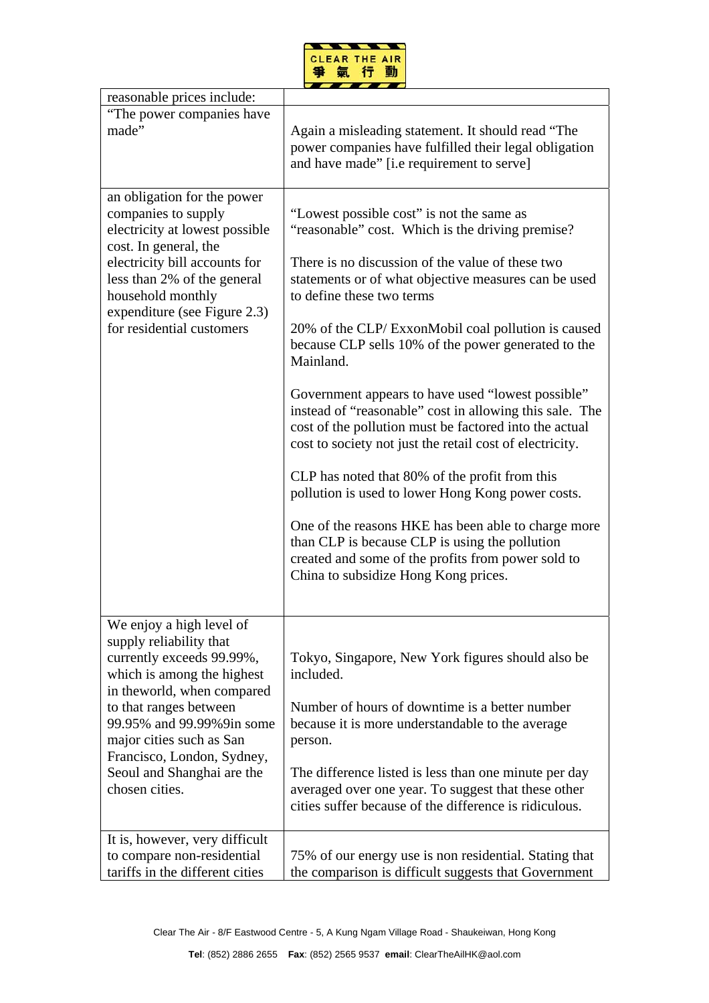

| reasonable prices include:                                                                                                                                                                                                                                                                                     |                                                                                                                                                                                                                                                                                                                                                                                                                                                                                                                                                                                                                                                                                                                                                                                                                                                                                                                      |
|----------------------------------------------------------------------------------------------------------------------------------------------------------------------------------------------------------------------------------------------------------------------------------------------------------------|----------------------------------------------------------------------------------------------------------------------------------------------------------------------------------------------------------------------------------------------------------------------------------------------------------------------------------------------------------------------------------------------------------------------------------------------------------------------------------------------------------------------------------------------------------------------------------------------------------------------------------------------------------------------------------------------------------------------------------------------------------------------------------------------------------------------------------------------------------------------------------------------------------------------|
| "The power companies have<br>made"                                                                                                                                                                                                                                                                             | Again a misleading statement. It should read "The<br>power companies have fulfilled their legal obligation<br>and have made" [i.e requirement to serve]                                                                                                                                                                                                                                                                                                                                                                                                                                                                                                                                                                                                                                                                                                                                                              |
| an obligation for the power<br>companies to supply<br>electricity at lowest possible<br>cost. In general, the<br>electricity bill accounts for<br>less than 2% of the general<br>household monthly<br>expenditure (see Figure 2.3)<br>for residential customers                                                | "Lowest possible cost" is not the same as<br>"reasonable" cost. Which is the driving premise?<br>There is no discussion of the value of these two<br>statements or of what objective measures can be used<br>to define these two terms<br>20% of the CLP/ExxonMobil coal pollution is caused<br>because CLP sells 10% of the power generated to the<br>Mainland.<br>Government appears to have used "lowest possible"<br>instead of "reasonable" cost in allowing this sale. The<br>cost of the pollution must be factored into the actual<br>cost to society not just the retail cost of electricity.<br>CLP has noted that 80% of the profit from this<br>pollution is used to lower Hong Kong power costs.<br>One of the reasons HKE has been able to charge more<br>than CLP is because CLP is using the pollution<br>created and some of the profits from power sold to<br>China to subsidize Hong Kong prices. |
| We enjoy a high level of<br>supply reliability that<br>currently exceeds 99.99%,<br>which is among the highest<br>in the world, when compared<br>to that ranges between<br>99.95% and 99.99%9in some<br>major cities such as San<br>Francisco, London, Sydney,<br>Seoul and Shanghai are the<br>chosen cities. | Tokyo, Singapore, New York figures should also be<br>included.<br>Number of hours of downtime is a better number<br>because it is more understandable to the average<br>person.<br>The difference listed is less than one minute per day<br>averaged over one year. To suggest that these other<br>cities suffer because of the difference is ridiculous.                                                                                                                                                                                                                                                                                                                                                                                                                                                                                                                                                            |
| It is, however, very difficult<br>to compare non-residential<br>tariffs in the different cities                                                                                                                                                                                                                | 75% of our energy use is non residential. Stating that<br>the comparison is difficult suggests that Government                                                                                                                                                                                                                                                                                                                                                                                                                                                                                                                                                                                                                                                                                                                                                                                                       |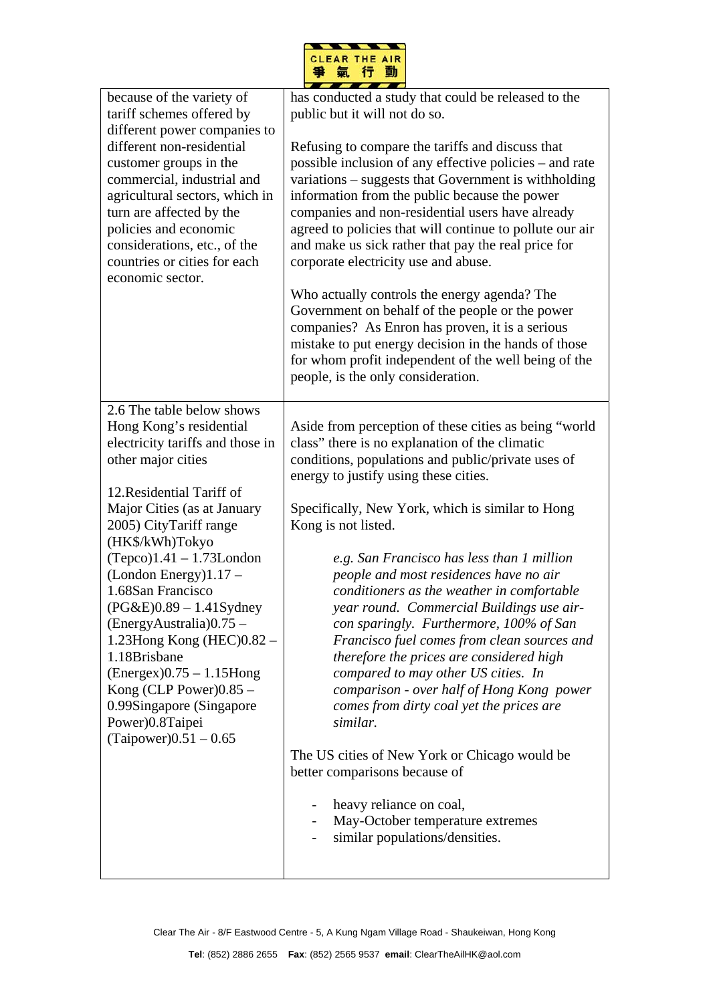

| because of the variety of<br>tariff schemes offered by<br>different power companies to<br>different non-residential<br>customer groups in the<br>commercial, industrial and<br>agricultural sectors, which in<br>turn are affected by the<br>policies and economic<br>considerations, etc., of the<br>countries or cities for each<br>economic sector.                                                                                                                                                                                              | has conducted a study that could be released to the<br>public but it will not do so.<br>Refusing to compare the tariffs and discuss that<br>possible inclusion of any effective policies – and rate<br>variations – suggests that Government is withholding<br>information from the public because the power<br>companies and non-residential users have already<br>agreed to policies that will continue to pollute our air<br>and make us sick rather that pay the real price for<br>corporate electricity use and abuse.<br>Who actually controls the energy agenda? The                                                                                                                                                                                                                                                                                                                                                                |
|-----------------------------------------------------------------------------------------------------------------------------------------------------------------------------------------------------------------------------------------------------------------------------------------------------------------------------------------------------------------------------------------------------------------------------------------------------------------------------------------------------------------------------------------------------|--------------------------------------------------------------------------------------------------------------------------------------------------------------------------------------------------------------------------------------------------------------------------------------------------------------------------------------------------------------------------------------------------------------------------------------------------------------------------------------------------------------------------------------------------------------------------------------------------------------------------------------------------------------------------------------------------------------------------------------------------------------------------------------------------------------------------------------------------------------------------------------------------------------------------------------------|
|                                                                                                                                                                                                                                                                                                                                                                                                                                                                                                                                                     | Government on behalf of the people or the power<br>companies? As Enron has proven, it is a serious<br>mistake to put energy decision in the hands of those<br>for whom profit independent of the well being of the<br>people, is the only consideration.                                                                                                                                                                                                                                                                                                                                                                                                                                                                                                                                                                                                                                                                                   |
| 2.6 The table below shows<br>Hong Kong's residential<br>electricity tariffs and those in<br>other major cities<br>12. Residential Tariff of<br>Major Cities (as at January<br>2005) CityTariff range<br>(HK\$/kWh)Tokyo<br>$(Tepco)1.41 - 1.73$ London<br>$(London Energy)1.17 -$<br>1.68San Francisco<br>$(PG&E)0.89 - 1.41$ Sydney<br>$(EnergyAustralia)0.75 -$<br>1.23Hong Kong (HEC)0.82 -<br>1.18Brisbane<br>$(Energy)$ 0.75 – 1.15Hong<br>Kong (CLP Power) $0.85 -$<br>0.99Singapore (Singapore<br>Power)0.8Taipei<br>$(Taipower)0.51 - 0.65$ | Aside from perception of these cities as being "world"<br>class" there is no explanation of the climatic<br>conditions, populations and public/private uses of<br>energy to justify using these cities.<br>Specifically, New York, which is similar to Hong<br>Kong is not listed.<br>e.g. San Francisco has less than 1 million<br>people and most residences have no air<br>conditioners as the weather in comfortable<br>year round. Commercial Buildings use air-<br>con sparingly. Furthermore, 100% of San<br>Francisco fuel comes from clean sources and<br>therefore the prices are considered high<br>compared to may other US cities. In<br>comparison - over half of Hong Kong power<br>comes from dirty coal yet the prices are<br>similar.<br>The US cities of New York or Chicago would be<br>better comparisons because of<br>heavy reliance on coal,<br>May-October temperature extremes<br>similar populations/densities. |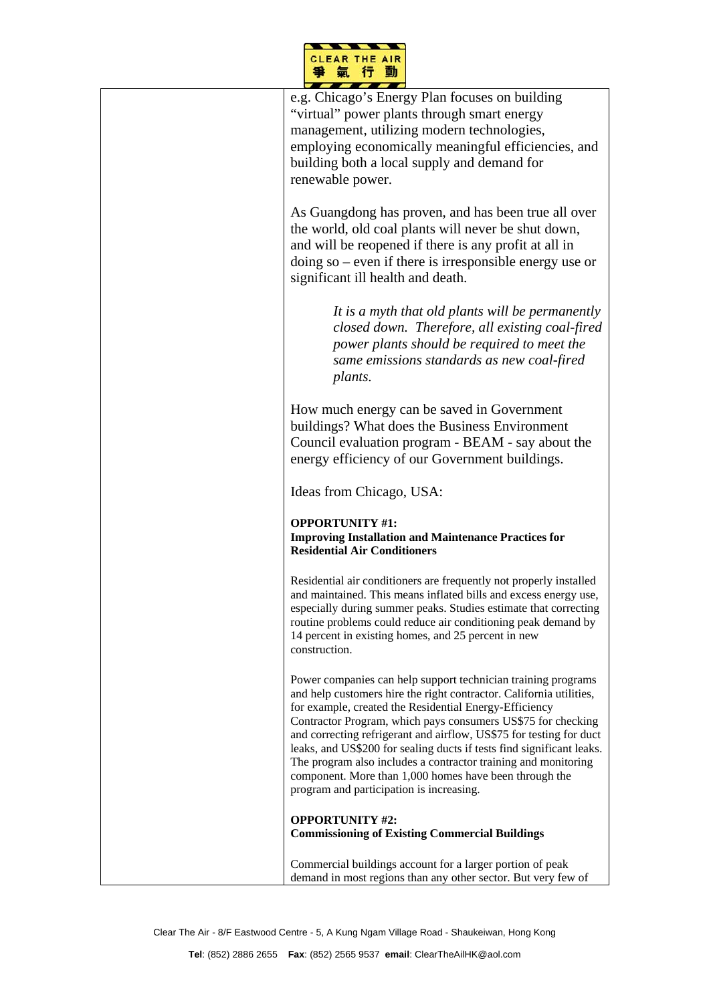

| e.g. Chicago's Energy Plan focuses on building<br>"virtual" power plants through smart energy<br>management, utilizing modern technologies,<br>employing economically meaningful efficiencies, and<br>building both a local supply and demand for<br>renewable power.                                                                                                                                                                                                                                                                                                                  |
|----------------------------------------------------------------------------------------------------------------------------------------------------------------------------------------------------------------------------------------------------------------------------------------------------------------------------------------------------------------------------------------------------------------------------------------------------------------------------------------------------------------------------------------------------------------------------------------|
| As Guangdong has proven, and has been true all over<br>the world, old coal plants will never be shut down,<br>and will be reopened if there is any profit at all in<br>doing so $-$ even if there is irresponsible energy use or<br>significant ill health and death.                                                                                                                                                                                                                                                                                                                  |
| It is a myth that old plants will be permanently<br>closed down. Therefore, all existing coal-fired<br>power plants should be required to meet the<br>same emissions standards as new coal-fired<br>plants.                                                                                                                                                                                                                                                                                                                                                                            |
| How much energy can be saved in Government<br>buildings? What does the Business Environment<br>Council evaluation program - BEAM - say about the<br>energy efficiency of our Government buildings.                                                                                                                                                                                                                                                                                                                                                                                     |
| Ideas from Chicago, USA:                                                                                                                                                                                                                                                                                                                                                                                                                                                                                                                                                               |
| <b>OPPORTUNITY #1:</b><br><b>Improving Installation and Maintenance Practices for</b><br><b>Residential Air Conditioners</b>                                                                                                                                                                                                                                                                                                                                                                                                                                                           |
| Residential air conditioners are frequently not properly installed<br>and maintained. This means inflated bills and excess energy use,<br>especially during summer peaks. Studies estimate that correcting<br>routine problems could reduce air conditioning peak demand by<br>14 percent in existing homes, and 25 percent in new<br>construction.                                                                                                                                                                                                                                    |
| Power companies can help support technician training programs<br>and help customers hire the right contractor. California utilities,<br>for example, created the Residential Energy-Efficiency<br>Contractor Program, which pays consumers US\$75 for checking<br>and correcting refrigerant and airflow, US\$75 for testing for duct<br>leaks, and US\$200 for sealing ducts if tests find significant leaks.<br>The program also includes a contractor training and monitoring<br>component. More than 1,000 homes have been through the<br>program and participation is increasing. |
| <b>OPPORTUNITY #2:</b><br><b>Commissioning of Existing Commercial Buildings</b>                                                                                                                                                                                                                                                                                                                                                                                                                                                                                                        |
| Commercial buildings account for a larger portion of peak<br>demand in most regions than any other sector. But very few of                                                                                                                                                                                                                                                                                                                                                                                                                                                             |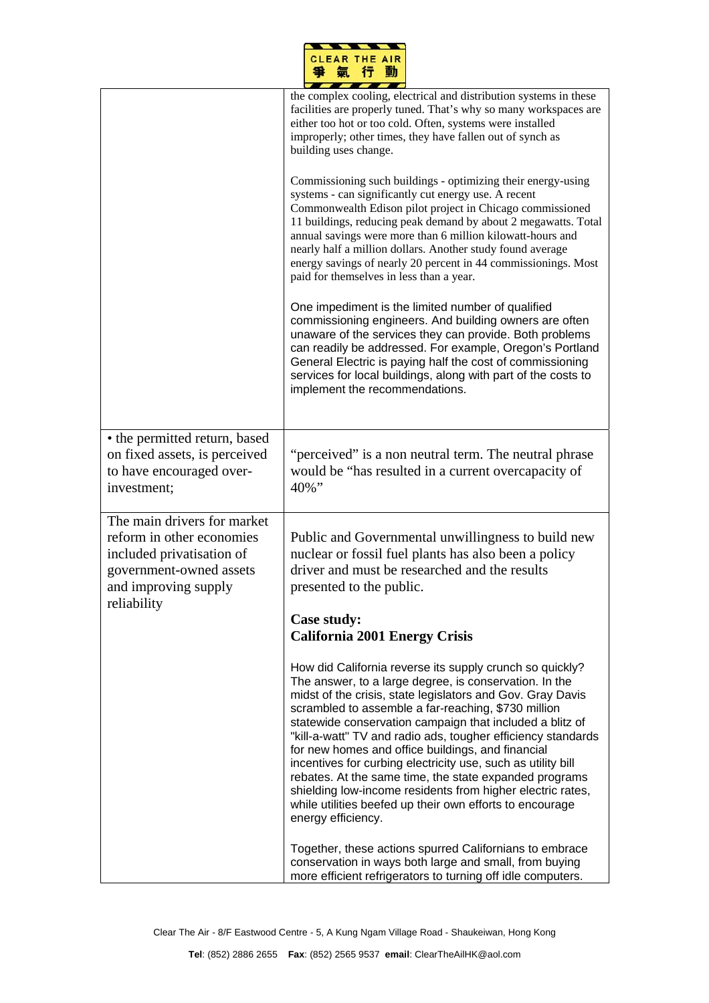|    | <b>CLEAR THE AIR</b> |  |
|----|----------------------|--|
| 95 | ÷                    |  |

|                                                                                                                                                         | the complex cooling, electrical and distribution systems in these<br>facilities are properly tuned. That's why so many workspaces are<br>either too hot or too cold. Often, systems were installed<br>improperly; other times, they have fallen out of synch as<br>building uses change.<br>Commissioning such buildings - optimizing their energy-using                                                                                                                                                                                                                                                                                                                                           |
|---------------------------------------------------------------------------------------------------------------------------------------------------------|----------------------------------------------------------------------------------------------------------------------------------------------------------------------------------------------------------------------------------------------------------------------------------------------------------------------------------------------------------------------------------------------------------------------------------------------------------------------------------------------------------------------------------------------------------------------------------------------------------------------------------------------------------------------------------------------------|
|                                                                                                                                                         | systems - can significantly cut energy use. A recent<br>Commonwealth Edison pilot project in Chicago commissioned<br>11 buildings, reducing peak demand by about 2 megawatts. Total<br>annual savings were more than 6 million kilowatt-hours and<br>nearly half a million dollars. Another study found average<br>energy savings of nearly 20 percent in 44 commissionings. Most<br>paid for themselves in less than a year.                                                                                                                                                                                                                                                                      |
|                                                                                                                                                         | One impediment is the limited number of qualified<br>commissioning engineers. And building owners are often<br>unaware of the services they can provide. Both problems<br>can readily be addressed. For example, Oregon's Portland<br>General Electric is paying half the cost of commissioning<br>services for local buildings, along with part of the costs to<br>implement the recommendations.                                                                                                                                                                                                                                                                                                 |
| • the permitted return, based<br>on fixed assets, is perceived<br>to have encouraged over-<br>investment;                                               | "perceived" is a non neutral term. The neutral phrase<br>would be "has resulted in a current overcapacity of<br>40%"                                                                                                                                                                                                                                                                                                                                                                                                                                                                                                                                                                               |
| The main drivers for market<br>reform in other economies<br>included privatisation of<br>government-owned assets<br>and improving supply<br>reliability | Public and Governmental unwillingness to build new<br>nuclear or fossil fuel plants has also been a policy<br>driver and must be researched and the results<br>presented to the public.                                                                                                                                                                                                                                                                                                                                                                                                                                                                                                            |
|                                                                                                                                                         | <b>Case study:</b><br><b>California 2001 Energy Crisis</b>                                                                                                                                                                                                                                                                                                                                                                                                                                                                                                                                                                                                                                         |
|                                                                                                                                                         | How did California reverse its supply crunch so quickly?<br>The answer, to a large degree, is conservation. In the<br>midst of the crisis, state legislators and Gov. Gray Davis<br>scrambled to assemble a far-reaching, \$730 million<br>statewide conservation campaign that included a blitz of<br>"kill-a-watt" TV and radio ads, tougher efficiency standards<br>for new homes and office buildings, and financial<br>incentives for curbing electricity use, such as utility bill<br>rebates. At the same time, the state expanded programs<br>shielding low-income residents from higher electric rates,<br>while utilities beefed up their own efforts to encourage<br>energy efficiency. |
|                                                                                                                                                         | Together, these actions spurred Californians to embrace<br>conservation in ways both large and small, from buying<br>more efficient refrigerators to turning off idle computers.                                                                                                                                                                                                                                                                                                                                                                                                                                                                                                                   |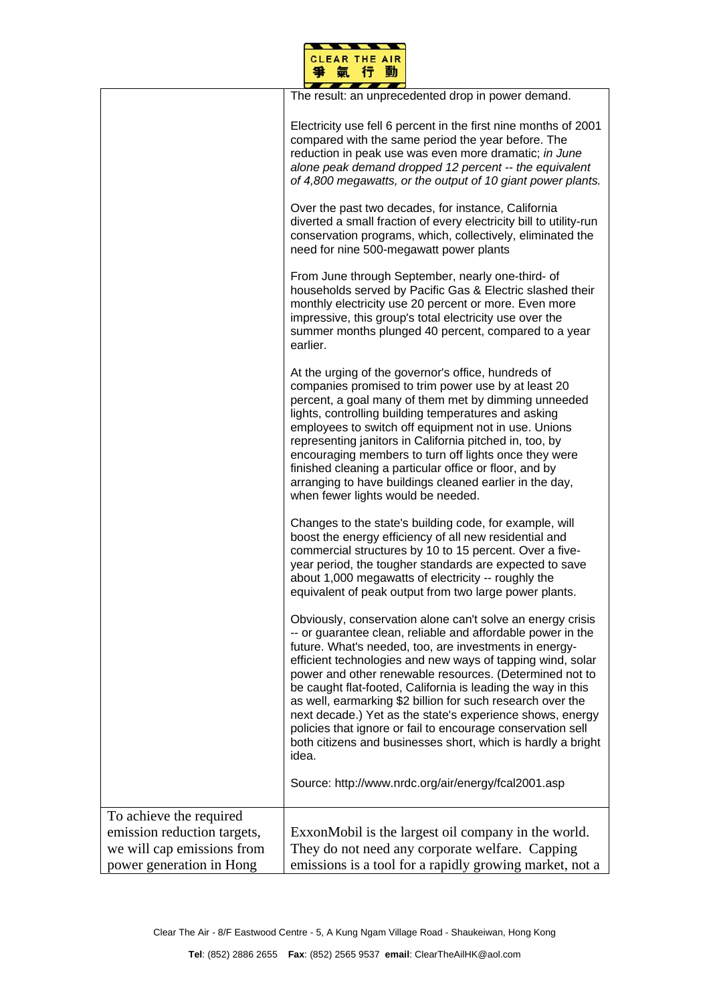

|                                                        | The result: an unprecedented drop in power demand.                                                                                                                                                                                                                                                                                                                                                                                                                                                                                                                                                                                              |
|--------------------------------------------------------|-------------------------------------------------------------------------------------------------------------------------------------------------------------------------------------------------------------------------------------------------------------------------------------------------------------------------------------------------------------------------------------------------------------------------------------------------------------------------------------------------------------------------------------------------------------------------------------------------------------------------------------------------|
|                                                        | Electricity use fell 6 percent in the first nine months of 2001<br>compared with the same period the year before. The<br>reduction in peak use was even more dramatic; in June<br>alone peak demand dropped 12 percent -- the equivalent<br>of 4,800 megawatts, or the output of 10 giant power plants.                                                                                                                                                                                                                                                                                                                                         |
|                                                        | Over the past two decades, for instance, California<br>diverted a small fraction of every electricity bill to utility-run<br>conservation programs, which, collectively, eliminated the<br>need for nine 500-megawatt power plants                                                                                                                                                                                                                                                                                                                                                                                                              |
|                                                        | From June through September, nearly one-third- of<br>households served by Pacific Gas & Electric slashed their<br>monthly electricity use 20 percent or more. Even more<br>impressive, this group's total electricity use over the<br>summer months plunged 40 percent, compared to a year<br>earlier.                                                                                                                                                                                                                                                                                                                                          |
|                                                        | At the urging of the governor's office, hundreds of<br>companies promised to trim power use by at least 20<br>percent, a goal many of them met by dimming unneeded<br>lights, controlling building temperatures and asking<br>employees to switch off equipment not in use. Unions<br>representing janitors in California pitched in, too, by<br>encouraging members to turn off lights once they were<br>finished cleaning a particular office or floor, and by<br>arranging to have buildings cleaned earlier in the day,<br>when fewer lights would be needed.                                                                               |
|                                                        | Changes to the state's building code, for example, will<br>boost the energy efficiency of all new residential and<br>commercial structures by 10 to 15 percent. Over a five-<br>year period, the tougher standards are expected to save<br>about 1,000 megawatts of electricity -- roughly the<br>equivalent of peak output from two large power plants.                                                                                                                                                                                                                                                                                        |
|                                                        | Obviously, conservation alone can't solve an energy crisis<br>-- or guarantee clean, reliable and affordable power in the<br>future. What's needed, too, are investments in energy-<br>efficient technologies and new ways of tapping wind, solar<br>power and other renewable resources. (Determined not to<br>be caught flat-footed, California is leading the way in this<br>as well, earmarking \$2 billion for such research over the<br>next decade.) Yet as the state's experience shows, energy<br>policies that ignore or fail to encourage conservation sell<br>both citizens and businesses short, which is hardly a bright<br>idea. |
|                                                        | Source: http://www.nrdc.org/air/energy/fcal2001.asp                                                                                                                                                                                                                                                                                                                                                                                                                                                                                                                                                                                             |
| To achieve the required<br>emission reduction targets, | ExxonMobil is the largest oil company in the world.                                                                                                                                                                                                                                                                                                                                                                                                                                                                                                                                                                                             |
| we will cap emissions from                             | They do not need any corporate welfare. Capping                                                                                                                                                                                                                                                                                                                                                                                                                                                                                                                                                                                                 |
| power generation in Hong                               | emissions is a tool for a rapidly growing market, not a                                                                                                                                                                                                                                                                                                                                                                                                                                                                                                                                                                                         |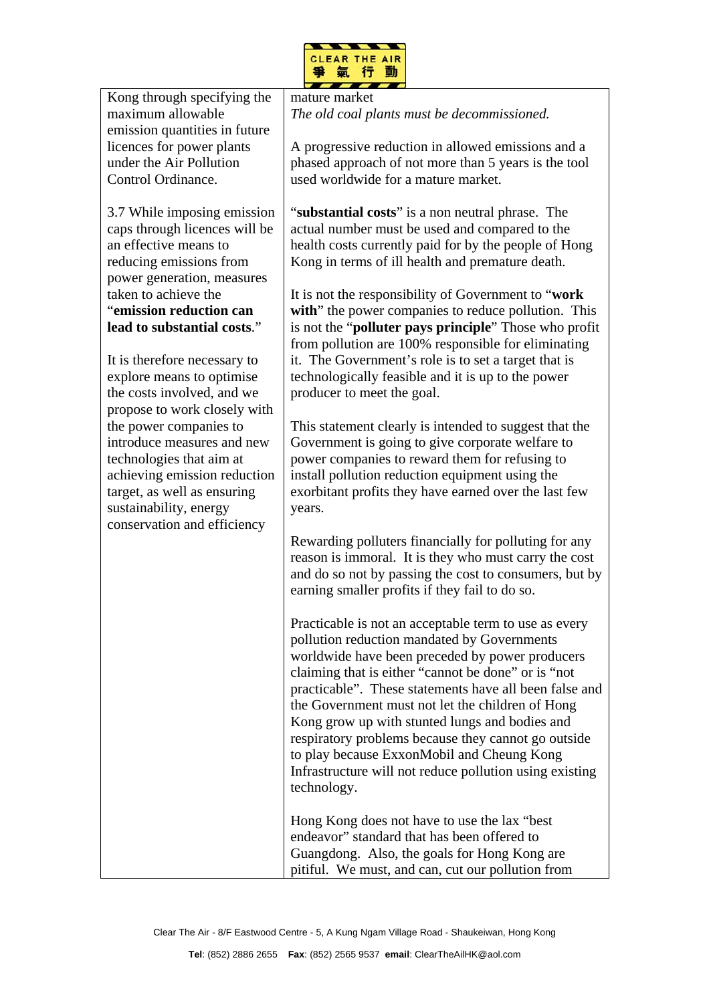

| Kong through specifying the<br>maximum allowable                                                                                                                                                         | mature market<br>The old coal plants must be decommissioned.                                                                                                                                                                                                                                                                                                                                                                                                                                                                                                  |
|----------------------------------------------------------------------------------------------------------------------------------------------------------------------------------------------------------|---------------------------------------------------------------------------------------------------------------------------------------------------------------------------------------------------------------------------------------------------------------------------------------------------------------------------------------------------------------------------------------------------------------------------------------------------------------------------------------------------------------------------------------------------------------|
| emission quantities in future<br>licences for power plants<br>under the Air Pollution<br>Control Ordinance.                                                                                              | A progressive reduction in allowed emissions and a<br>phased approach of not more than 5 years is the tool<br>used worldwide for a mature market.                                                                                                                                                                                                                                                                                                                                                                                                             |
| 3.7 While imposing emission<br>caps through licences will be<br>an effective means to<br>reducing emissions from<br>power generation, measures                                                           | "substantial costs" is a non neutral phrase. The<br>actual number must be used and compared to the<br>health costs currently paid for by the people of Hong<br>Kong in terms of ill health and premature death.                                                                                                                                                                                                                                                                                                                                               |
| taken to achieve the<br>"emission reduction can<br>lead to substantial costs."                                                                                                                           | It is not the responsibility of Government to "work"<br>with" the power companies to reduce pollution. This<br>is not the " <b>polluter pays principle</b> " Those who profit<br>from pollution are 100% responsible for eliminating<br>it. The Government's role is to set a target that is                                                                                                                                                                                                                                                                  |
| It is therefore necessary to<br>explore means to optimise<br>the costs involved, and we<br>propose to work closely with                                                                                  | technologically feasible and it is up to the power<br>producer to meet the goal.                                                                                                                                                                                                                                                                                                                                                                                                                                                                              |
| the power companies to<br>introduce measures and new<br>technologies that aim at<br>achieving emission reduction<br>target, as well as ensuring<br>sustainability, energy<br>conservation and efficiency | This statement clearly is intended to suggest that the<br>Government is going to give corporate welfare to<br>power companies to reward them for refusing to<br>install pollution reduction equipment using the<br>exorbitant profits they have earned over the last few<br>years.                                                                                                                                                                                                                                                                            |
|                                                                                                                                                                                                          | Rewarding polluters financially for polluting for any<br>reason is immoral. It is they who must carry the cost<br>and do so not by passing the cost to consumers, but by<br>earning smaller profits if they fail to do so.                                                                                                                                                                                                                                                                                                                                    |
|                                                                                                                                                                                                          | Practicable is not an acceptable term to use as every<br>pollution reduction mandated by Governments<br>worldwide have been preceded by power producers<br>claiming that is either "cannot be done" or is "not<br>practicable". These statements have all been false and<br>the Government must not let the children of Hong<br>Kong grow up with stunted lungs and bodies and<br>respiratory problems because they cannot go outside<br>to play because ExxonMobil and Cheung Kong<br>Infrastructure will not reduce pollution using existing<br>technology. |
|                                                                                                                                                                                                          | Hong Kong does not have to use the lax "best"<br>endeavor" standard that has been offered to<br>Guangdong. Also, the goals for Hong Kong are<br>pitiful. We must, and can, cut our pollution from                                                                                                                                                                                                                                                                                                                                                             |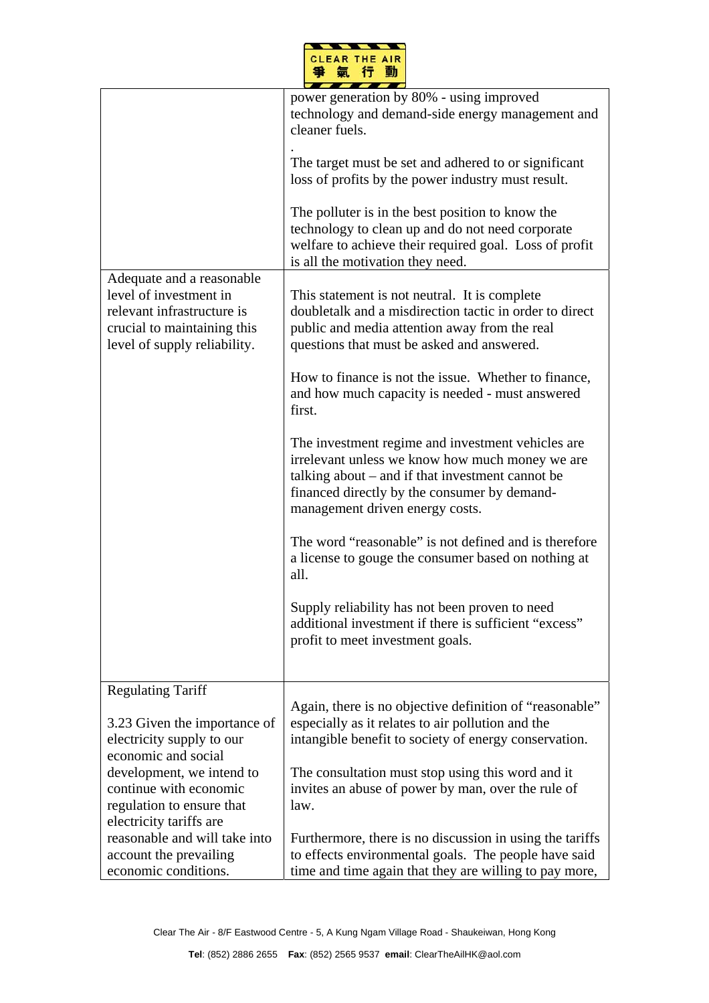

|                                                                                                                                                  | power generation by 80% - using improved<br>technology and demand-side energy management and<br>cleaner fuels.<br>The target must be set and adhered to or significant<br>loss of profits by the power industry must result.<br>The polluter is in the best position to know the<br>technology to clean up and do not need corporate<br>welfare to achieve their required goal. Loss of profit<br>is all the motivation they need. |
|--------------------------------------------------------------------------------------------------------------------------------------------------|------------------------------------------------------------------------------------------------------------------------------------------------------------------------------------------------------------------------------------------------------------------------------------------------------------------------------------------------------------------------------------------------------------------------------------|
| Adequate and a reasonable<br>level of investment in<br>relevant infrastructure is<br>crucial to maintaining this<br>level of supply reliability. | This statement is not neutral. It is complete<br>doubletalk and a misdirection tactic in order to direct<br>public and media attention away from the real<br>questions that must be asked and answered.<br>How to finance is not the issue. Whether to finance,                                                                                                                                                                    |
|                                                                                                                                                  | and how much capacity is needed - must answered<br>first.                                                                                                                                                                                                                                                                                                                                                                          |
|                                                                                                                                                  | The investment regime and investment vehicles are<br>irrelevant unless we know how much money we are<br>talking about – and if that investment cannot be<br>financed directly by the consumer by demand-<br>management driven energy costs.                                                                                                                                                                                        |
|                                                                                                                                                  | The word "reasonable" is not defined and is therefore<br>a license to gouge the consumer based on nothing at<br>all.                                                                                                                                                                                                                                                                                                               |
|                                                                                                                                                  | Supply reliability has not been proven to need<br>additional investment if there is sufficient "excess"<br>profit to meet investment goals.                                                                                                                                                                                                                                                                                        |
| <b>Regulating Tariff</b>                                                                                                                         |                                                                                                                                                                                                                                                                                                                                                                                                                                    |
| 3.23 Given the importance of<br>electricity supply to our<br>economic and social                                                                 | Again, there is no objective definition of "reasonable"<br>especially as it relates to air pollution and the<br>intangible benefit to society of energy conservation.                                                                                                                                                                                                                                                              |
| development, we intend to<br>continue with economic<br>regulation to ensure that<br>electricity tariffs are                                      | The consultation must stop using this word and it<br>invites an abuse of power by man, over the rule of<br>law.                                                                                                                                                                                                                                                                                                                    |
| reasonable and will take into<br>account the prevailing<br>economic conditions.                                                                  | Furthermore, there is no discussion in using the tariffs<br>to effects environmental goals. The people have said<br>time and time again that they are willing to pay more,                                                                                                                                                                                                                                                         |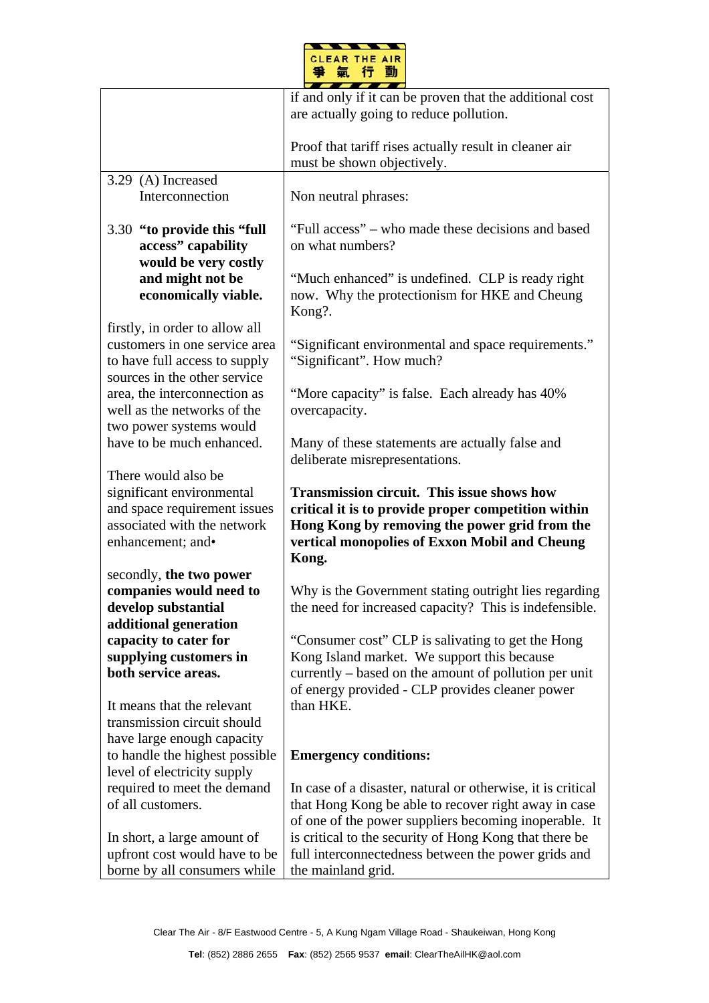

|                                                                 | if and only if it can be proven that the additional cost                        |
|-----------------------------------------------------------------|---------------------------------------------------------------------------------|
|                                                                 | are actually going to reduce pollution.                                         |
|                                                                 |                                                                                 |
|                                                                 | Proof that tariff rises actually result in cleaner air                          |
|                                                                 | must be shown objectively.                                                      |
| 3.29 (A) Increased                                              |                                                                                 |
| Interconnection                                                 | Non neutral phrases:                                                            |
|                                                                 |                                                                                 |
| 3.30 "to provide this "full                                     | "Full access" – who made these decisions and based                              |
| access" capability                                              | on what numbers?                                                                |
| would be very costly                                            |                                                                                 |
| and might not be                                                | "Much enhanced" is undefined. CLP is ready right                                |
| economically viable.                                            | now. Why the protectionism for HKE and Cheung                                   |
|                                                                 | Kong?.                                                                          |
| firstly, in order to allow all<br>customers in one service area |                                                                                 |
| to have full access to supply                                   | "Significant environmental and space requirements."<br>"Significant". How much? |
| sources in the other service                                    |                                                                                 |
| area, the interconnection as                                    | "More capacity" is false. Each already has 40%                                  |
| well as the networks of the                                     | overcapacity.                                                                   |
| two power systems would                                         |                                                                                 |
| have to be much enhanced.                                       | Many of these statements are actually false and                                 |
|                                                                 | deliberate misrepresentations.                                                  |
| There would also be                                             |                                                                                 |
|                                                                 |                                                                                 |
|                                                                 |                                                                                 |
| significant environmental                                       | <b>Transmission circuit. This issue shows how</b>                               |
| and space requirement issues                                    | critical it is to provide proper competition within                             |
| associated with the network                                     | Hong Kong by removing the power grid from the                                   |
| enhancement; and•                                               | vertical monopolies of Exxon Mobil and Cheung                                   |
| secondly, the two power                                         | Kong.                                                                           |
| companies would need to                                         | Why is the Government stating outright lies regarding                           |
| develop substantial                                             | the need for increased capacity? This is indefensible.                          |
| additional generation                                           |                                                                                 |
| capacity to cater for                                           | "Consumer cost" CLP is salivating to get the Hong"                              |
| supplying customers in                                          | Kong Island market. We support this because                                     |
| both service areas.                                             | currently – based on the amount of pollution per unit                           |
|                                                                 | of energy provided - CLP provides cleaner power                                 |
| It means that the relevant                                      | than HKE.                                                                       |
| transmission circuit should                                     |                                                                                 |
| have large enough capacity                                      |                                                                                 |
| to handle the highest possible                                  | <b>Emergency conditions:</b>                                                    |
| level of electricity supply                                     |                                                                                 |
| required to meet the demand                                     | In case of a disaster, natural or otherwise, it is critical                     |
| of all customers.                                               | that Hong Kong be able to recover right away in case                            |
|                                                                 | of one of the power suppliers becoming inoperable. It                           |
| In short, a large amount of                                     | is critical to the security of Hong Kong that there be                          |
| upfront cost would have to be<br>borne by all consumers while   | full interconnectedness between the power grids and<br>the mainland grid.       |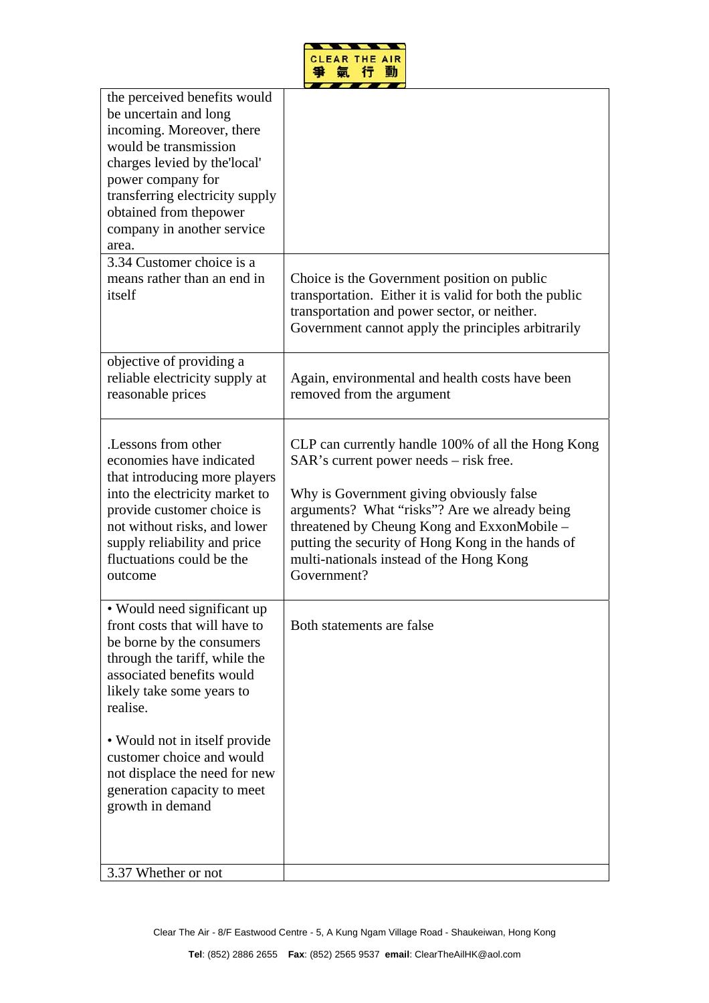

| the perceived benefits would<br>be uncertain and long<br>incoming. Moreover, there<br>would be transmission<br>charges levied by the local'<br>power company for<br>transferring electricity supply<br>obtained from thepower<br>company in another service<br>area.<br>3.34 Customer choice is a<br>means rather than an end in | Choice is the Government position on public                                                                                                                                                                                                                                                                                                              |
|----------------------------------------------------------------------------------------------------------------------------------------------------------------------------------------------------------------------------------------------------------------------------------------------------------------------------------|----------------------------------------------------------------------------------------------------------------------------------------------------------------------------------------------------------------------------------------------------------------------------------------------------------------------------------------------------------|
| itself                                                                                                                                                                                                                                                                                                                           | transportation. Either it is valid for both the public<br>transportation and power sector, or neither.<br>Government cannot apply the principles arbitrarily                                                                                                                                                                                             |
| objective of providing a<br>reliable electricity supply at<br>reasonable prices                                                                                                                                                                                                                                                  | Again, environmental and health costs have been<br>removed from the argument                                                                                                                                                                                                                                                                             |
| Lessons from other<br>economies have indicated<br>that introducing more players<br>into the electricity market to<br>provide customer choice is<br>not without risks, and lower<br>supply reliability and price<br>fluctuations could be the<br>outcome                                                                          | CLP can currently handle 100% of all the Hong Kong<br>SAR's current power needs - risk free.<br>Why is Government giving obviously false<br>arguments? What "risks"? Are we already being<br>threatened by Cheung Kong and ExxonMobile –<br>putting the security of Hong Kong in the hands of<br>multi-nationals instead of the Hong Kong<br>Government? |
| • Would need significant up<br>front costs that will have to<br>be borne by the consumers<br>through the tariff, while the<br>associated benefits would<br>likely take some years to<br>realise.                                                                                                                                 | Both statements are false                                                                                                                                                                                                                                                                                                                                |
| • Would not in itself provide<br>customer choice and would<br>not displace the need for new<br>generation capacity to meet<br>growth in demand                                                                                                                                                                                   |                                                                                                                                                                                                                                                                                                                                                          |
| 3.37 Whether or not                                                                                                                                                                                                                                                                                                              |                                                                                                                                                                                                                                                                                                                                                          |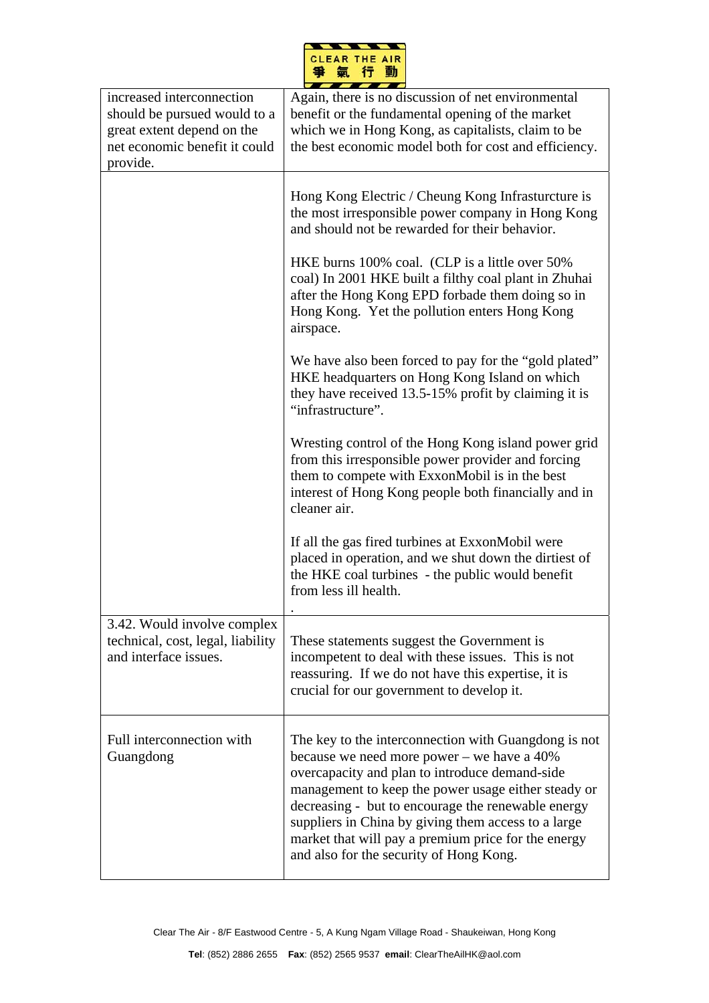|  | <b>CLEAR THE AIR</b> |  |
|--|----------------------|--|
|  |                      |  |

| increased interconnection<br>should be pursued would to a<br>great extent depend on the<br>net economic benefit it could<br>provide. | Again, there is no discussion of net environmental<br>benefit or the fundamental opening of the market<br>which we in Hong Kong, as capitalists, claim to be<br>the best economic model both for cost and efficiency.                                                                                                                                                                                                      |
|--------------------------------------------------------------------------------------------------------------------------------------|----------------------------------------------------------------------------------------------------------------------------------------------------------------------------------------------------------------------------------------------------------------------------------------------------------------------------------------------------------------------------------------------------------------------------|
|                                                                                                                                      | Hong Kong Electric / Cheung Kong Infrasturcture is<br>the most irresponsible power company in Hong Kong<br>and should not be rewarded for their behavior.                                                                                                                                                                                                                                                                  |
|                                                                                                                                      | HKE burns 100% coal. (CLP is a little over 50%<br>coal) In 2001 HKE built a filthy coal plant in Zhuhai<br>after the Hong Kong EPD forbade them doing so in<br>Hong Kong. Yet the pollution enters Hong Kong<br>airspace.                                                                                                                                                                                                  |
|                                                                                                                                      | We have also been forced to pay for the "gold plated"<br>HKE headquarters on Hong Kong Island on which<br>they have received 13.5-15% profit by claiming it is<br>"infrastructure".                                                                                                                                                                                                                                        |
|                                                                                                                                      | Wresting control of the Hong Kong island power grid<br>from this irresponsible power provider and forcing<br>them to compete with ExxonMobil is in the best<br>interest of Hong Kong people both financially and in<br>cleaner air.                                                                                                                                                                                        |
|                                                                                                                                      | If all the gas fired turbines at ExxonMobil were<br>placed in operation, and we shut down the dirtiest of<br>the HKE coal turbines - the public would benefit<br>from less ill health.                                                                                                                                                                                                                                     |
| 3.42. Would involve complex<br>technical, cost, legal, liability<br>and interface issues.                                            | These statements suggest the Government is<br>incompetent to deal with these issues. This is not<br>reassuring. If we do not have this expertise, it is<br>crucial for our government to develop it.                                                                                                                                                                                                                       |
| Full interconnection with<br>Guangdong                                                                                               | The key to the interconnection with Guangdong is not<br>because we need more power – we have a 40%<br>overcapacity and plan to introduce demand-side<br>management to keep the power usage either steady or<br>decreasing - but to encourage the renewable energy<br>suppliers in China by giving them access to a large<br>market that will pay a premium price for the energy<br>and also for the security of Hong Kong. |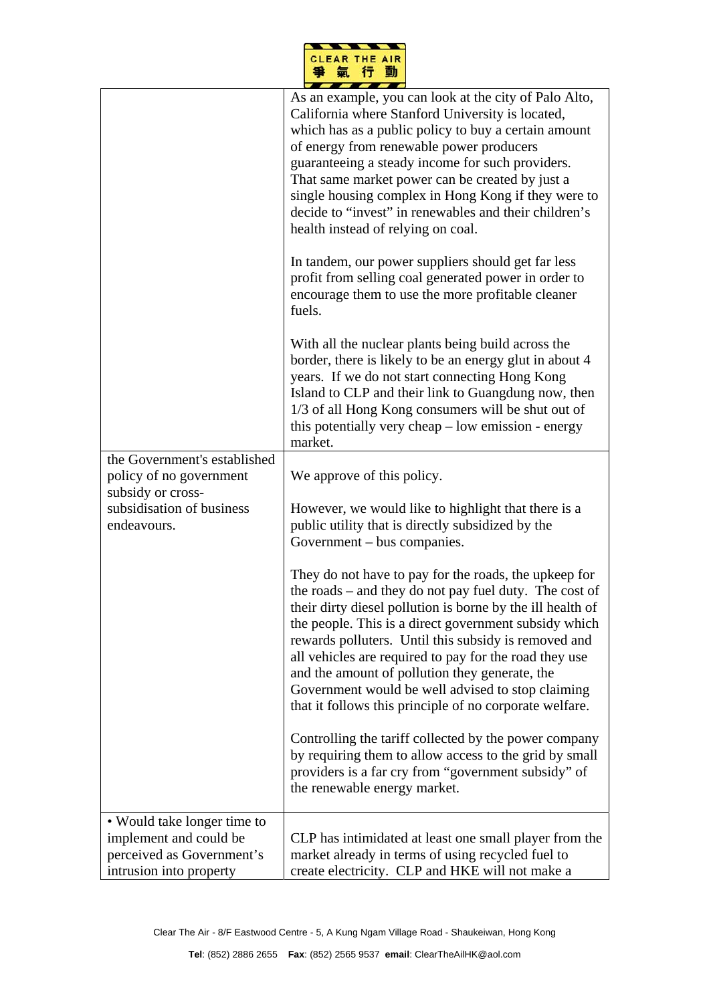|   | <b>CLEAR THE AIR</b> |    |
|---|----------------------|----|
| ≕ | $\bullet$            | ъñ |
|   |                      |    |
|   |                      |    |

|                                                                                                               | As an example, you can look at the city of Palo Alto,<br>California where Stanford University is located,<br>which has as a public policy to buy a certain amount<br>of energy from renewable power producers<br>guaranteeing a steady income for such providers.<br>That same market power can be created by just a<br>single housing complex in Hong Kong if they were to<br>decide to "invest" in renewables and their children's<br>health instead of relying on coal.<br>In tandem, our power suppliers should get far less<br>profit from selling coal generated power in order to<br>encourage them to use the more profitable cleaner<br>fuels. |
|---------------------------------------------------------------------------------------------------------------|---------------------------------------------------------------------------------------------------------------------------------------------------------------------------------------------------------------------------------------------------------------------------------------------------------------------------------------------------------------------------------------------------------------------------------------------------------------------------------------------------------------------------------------------------------------------------------------------------------------------------------------------------------|
|                                                                                                               | With all the nuclear plants being build across the<br>border, there is likely to be an energy glut in about 4<br>years. If we do not start connecting Hong Kong<br>Island to CLP and their link to Guangdung now, then<br>1/3 of all Hong Kong consumers will be shut out of<br>this potentially very cheap - low emission - energy<br>market.                                                                                                                                                                                                                                                                                                          |
| the Government's established<br>policy of no government<br>subsidy or cross-                                  | We approve of this policy.                                                                                                                                                                                                                                                                                                                                                                                                                                                                                                                                                                                                                              |
| subsidisation of business<br>endeavours.                                                                      | However, we would like to highlight that there is a<br>public utility that is directly subsidized by the<br>Government – bus companies.                                                                                                                                                                                                                                                                                                                                                                                                                                                                                                                 |
|                                                                                                               | They do not have to pay for the roads, the upkeep for<br>the roads - and they do not pay fuel duty. The cost of<br>their dirty diesel pollution is borne by the ill health of<br>the people. This is a direct government subsidy which<br>rewards polluters. Until this subsidy is removed and<br>all vehicles are required to pay for the road they use<br>and the amount of pollution they generate, the<br>Government would be well advised to stop claiming<br>that it follows this principle of no corporate welfare.                                                                                                                              |
|                                                                                                               | Controlling the tariff collected by the power company<br>by requiring them to allow access to the grid by small<br>providers is a far cry from "government subsidy" of<br>the renewable energy market.                                                                                                                                                                                                                                                                                                                                                                                                                                                  |
| • Would take longer time to<br>implement and could be<br>perceived as Government's<br>intrusion into property | CLP has intimidated at least one small player from the<br>market already in terms of using recycled fuel to<br>create electricity. CLP and HKE will not make a                                                                                                                                                                                                                                                                                                                                                                                                                                                                                          |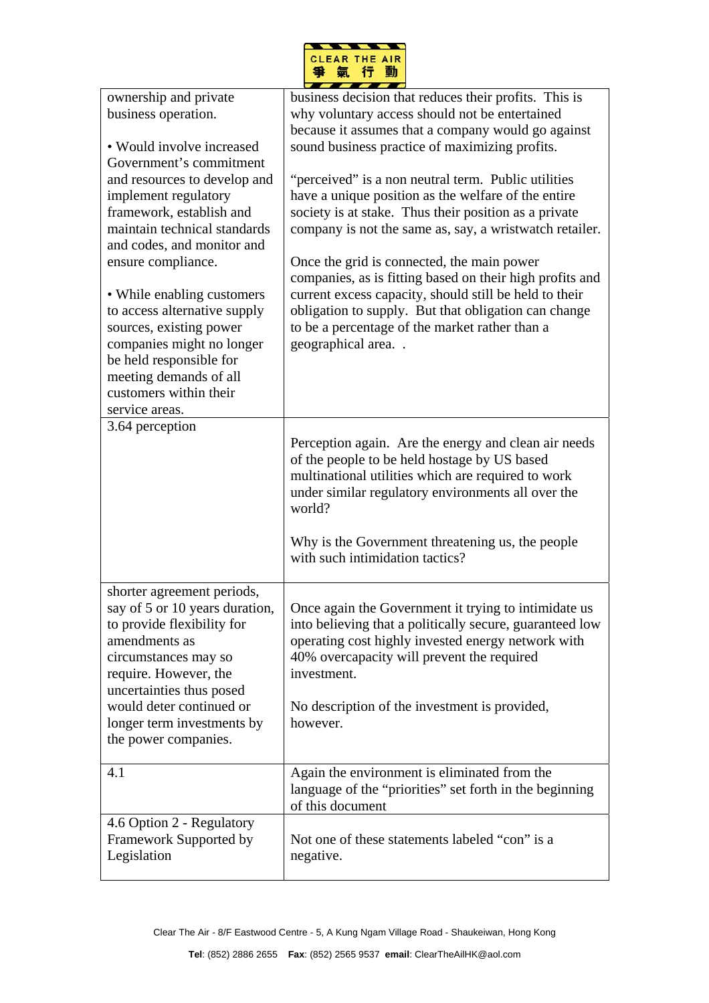

| ownership and private                            | business decision that reduces their profits. This is                                                  |
|--------------------------------------------------|--------------------------------------------------------------------------------------------------------|
| business operation.                              | why voluntary access should not be entertained                                                         |
|                                                  | because it assumes that a company would go against                                                     |
| • Would involve increased                        | sound business practice of maximizing profits.                                                         |
| Government's commitment                          |                                                                                                        |
| and resources to develop and                     | "perceived" is a non neutral term. Public utilities                                                    |
| implement regulatory                             | have a unique position as the welfare of the entire                                                    |
| framework, establish and                         | society is at stake. Thus their position as a private                                                  |
| maintain technical standards                     | company is not the same as, say, a wristwatch retailer.                                                |
| and codes, and monitor and                       |                                                                                                        |
| ensure compliance.                               | Once the grid is connected, the main power<br>companies, as is fitting based on their high profits and |
| • While enabling customers                       | current excess capacity, should still be held to their                                                 |
| to access alternative supply                     | obligation to supply. But that obligation can change                                                   |
| sources, existing power                          | to be a percentage of the market rather than a                                                         |
| companies might no longer                        | geographical area                                                                                      |
| be held responsible for                          |                                                                                                        |
| meeting demands of all<br>customers within their |                                                                                                        |
| service areas.                                   |                                                                                                        |
| 3.64 perception                                  |                                                                                                        |
|                                                  | Perception again. Are the energy and clean air needs                                                   |
|                                                  | of the people to be held hostage by US based                                                           |
|                                                  | multinational utilities which are required to work                                                     |
|                                                  | under similar regulatory environments all over the                                                     |
|                                                  | world?                                                                                                 |
|                                                  |                                                                                                        |
|                                                  | Why is the Government threatening us, the people                                                       |
|                                                  | with such intimidation tactics?                                                                        |
|                                                  |                                                                                                        |
| shorter agreement periods,                       |                                                                                                        |
| say of 5 or 10 years duration,                   | Once again the Government it trying to intimidate us                                                   |
| to provide flexibility for                       | into believing that a politically secure, guaranteed low                                               |
| amendments as                                    | operating cost highly invested energy network with                                                     |
| circumstances may so                             | 40% overcapacity will prevent the required                                                             |
| require. However, the                            | investment.                                                                                            |
| uncertainties thus posed                         |                                                                                                        |
| would deter continued or                         | No description of the investment is provided,                                                          |
| longer term investments by                       | however.                                                                                               |
| the power companies.                             |                                                                                                        |
| 4.1                                              | Again the environment is eliminated from the                                                           |
|                                                  | language of the "priorities" set forth in the beginning                                                |
|                                                  | of this document                                                                                       |
| 4.6 Option 2 - Regulatory                        |                                                                                                        |
| Framework Supported by                           | Not one of these statements labeled "con" is a                                                         |
| Legislation                                      | negative.                                                                                              |
|                                                  |                                                                                                        |